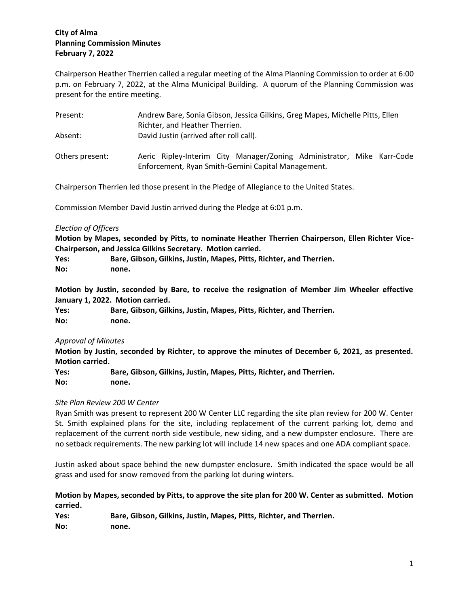# **City of Alma Planning Commission Minutes February 7, 2022**

Chairperson Heather Therrien called a regular meeting of the Alma Planning Commission to order at 6:00 p.m. on February 7, 2022, at the Alma Municipal Building. A quorum of the Planning Commission was present for the entire meeting.

| Present:        | Andrew Bare, Sonia Gibson, Jessica Gilkins, Greg Mapes, Michelle Pitts, Ellen                                                |
|-----------------|------------------------------------------------------------------------------------------------------------------------------|
|                 | Richter, and Heather Therrien.                                                                                               |
| Absent:         | David Justin (arrived after roll call).                                                                                      |
| Others present: | Aeric Ripley-Interim City Manager/Zoning Administrator, Mike Karr-Code<br>Enforcement, Ryan Smith-Gemini Capital Management. |

Chairperson Therrien led those present in the Pledge of Allegiance to the United States.

Commission Member David Justin arrived during the Pledge at 6:01 p.m.

### *Election of Officers*

**Motion by Mapes, seconded by Pitts, to nominate Heather Therrien Chairperson, Ellen Richter Vice-Chairperson, and Jessica Gilkins Secretary. Motion carried.**

**Yes: Bare, Gibson, Gilkins, Justin, Mapes, Pitts, Richter, and Therrien. No: none.**

**Motion by Justin, seconded by Bare, to receive the resignation of Member Jim Wheeler effective January 1, 2022. Motion carried.**

| Yes: | Bare, Gibson, Gilkins, Justin, Mapes, Pitts, Richter, and Therrien. |
|------|---------------------------------------------------------------------|
| No:  | none.                                                               |

## *Approval of Minutes*

**Motion by Justin, seconded by Richter, to approve the minutes of December 6, 2021, as presented. Motion carried.**

**Yes: Bare, Gibson, Gilkins, Justin, Mapes, Pitts, Richter, and Therrien. No: none.**

#### *Site Plan Review 200 W Center*

Ryan Smith was present to represent 200 W Center LLC regarding the site plan review for 200 W. Center St. Smith explained plans for the site, including replacement of the current parking lot, demo and replacement of the current north side vestibule, new siding, and a new dumpster enclosure. There are no setback requirements. The new parking lot will include 14 new spaces and one ADA compliant space.

Justin asked about space behind the new dumpster enclosure. Smith indicated the space would be all grass and used for snow removed from the parking lot during winters.

## **Motion by Mapes, seconded by Pitts, to approve the site plan for 200 W. Center as submitted. Motion carried.**

**Yes: Bare, Gibson, Gilkins, Justin, Mapes, Pitts, Richter, and Therrien. No: none.**